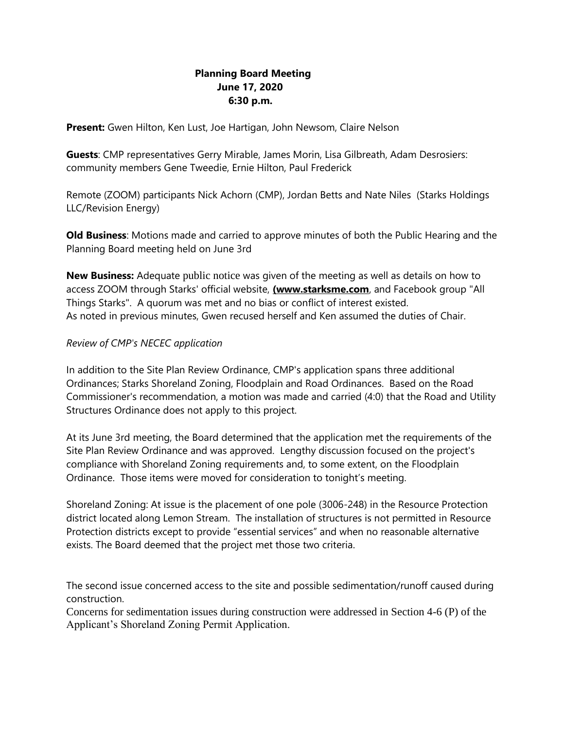## **Planning Board Meeting June 17, 2020 6:30 p.m.**

**Present:** Gwen Hilton, Ken Lust, Joe Hartigan, John Newsom, Claire Nelson

**Guests**: CMP representatives Gerry Mirable, James Morin, Lisa Gilbreath, Adam Desrosiers: community members Gene Tweedie, Ernie Hilton, Paul Frederick

Remote (ZOOM) participants Nick Achorn (CMP), Jordan Betts and Nate Niles (Starks Holdings LLC/Revision Energy)

**Old Business**: Motions made and carried to approve minutes of both the Public Hearing and the Planning Board meeting held on June 3rd

**New Business:** Adequate public notice was given of the meeting as well as details on how to access ZOOM through Starks' official website, **(www.starksme.com**, and Facebook group "All Things Starks". A quorum was met and no bias or conflict of interest existed. As noted in previous minutes, Gwen recused herself and Ken assumed the duties of Chair.

#### *Review of CMP's NECEC application*

In addition to the Site Plan Review Ordinance, CMP's application spans three additional Ordinances; Starks Shoreland Zoning, Floodplain and Road Ordinances. Based on the Road Commissioner's recommendation, a motion was made and carried (4:0) that the Road and Utility Structures Ordinance does not apply to this project.

At its June 3rd meeting, the Board determined that the application met the requirements of the Site Plan Review Ordinance and was approved. Lengthy discussion focused on the project's compliance with Shoreland Zoning requirements and, to some extent, on the Floodplain Ordinance. Those items were moved for consideration to tonight's meeting.

Shoreland Zoning: At issue is the placement of one pole (3006-248) in the Resource Protection district located along Lemon Stream. The installation of structures is not permitted in Resource Protection districts except to provide "essential services" and when no reasonable alternative exists. The Board deemed that the project met those two criteria.

The second issue concerned access to the site and possible sedimentation/runoff caused during construction.

Concerns for sedimentation issues during construction were addressed in Section 4-6 (P) of the Applicant's Shoreland Zoning Permit Application.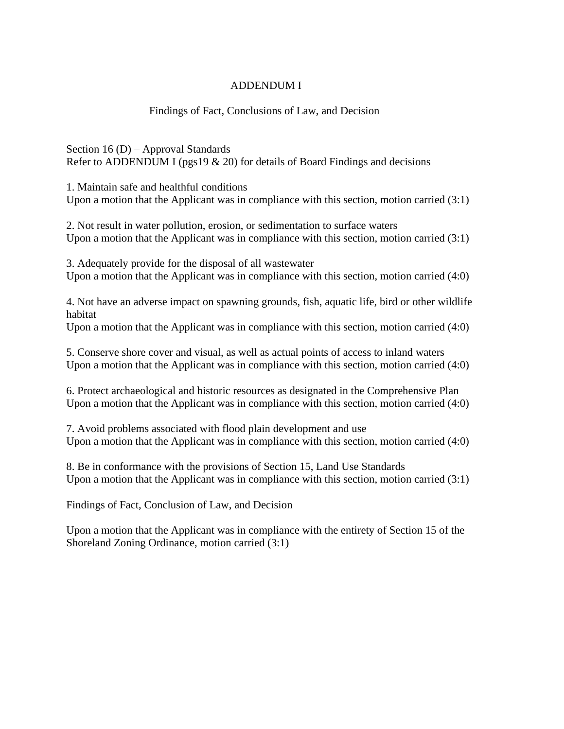## ADDENDUM I

## Findings of Fact, Conclusions of Law, and Decision

Section 16 (D) – Approval Standards Refer to ADDENDUM I (pgs19  $\&$  20) for details of Board Findings and decisions

1. Maintain safe and healthful conditions Upon a motion that the Applicant was in compliance with this section, motion carried (3:1)

2. Not result in water pollution, erosion, or sedimentation to surface waters Upon a motion that the Applicant was in compliance with this section, motion carried (3:1)

3. Adequately provide for the disposal of all wastewater Upon a motion that the Applicant was in compliance with this section, motion carried (4:0)

4. Not have an adverse impact on spawning grounds, fish, aquatic life, bird or other wildlife habitat

Upon a motion that the Applicant was in compliance with this section, motion carried (4:0)

5. Conserve shore cover and visual, as well as actual points of access to inland waters Upon a motion that the Applicant was in compliance with this section, motion carried (4:0)

6. Protect archaeological and historic resources as designated in the Comprehensive Plan Upon a motion that the Applicant was in compliance with this section, motion carried (4:0)

7. Avoid problems associated with flood plain development and use Upon a motion that the Applicant was in compliance with this section, motion carried (4:0)

8. Be in conformance with the provisions of Section 15, Land Use Standards Upon a motion that the Applicant was in compliance with this section, motion carried (3:1)

Findings of Fact, Conclusion of Law, and Decision

Upon a motion that the Applicant was in compliance with the entirety of Section 15 of the Shoreland Zoning Ordinance, motion carried (3:1)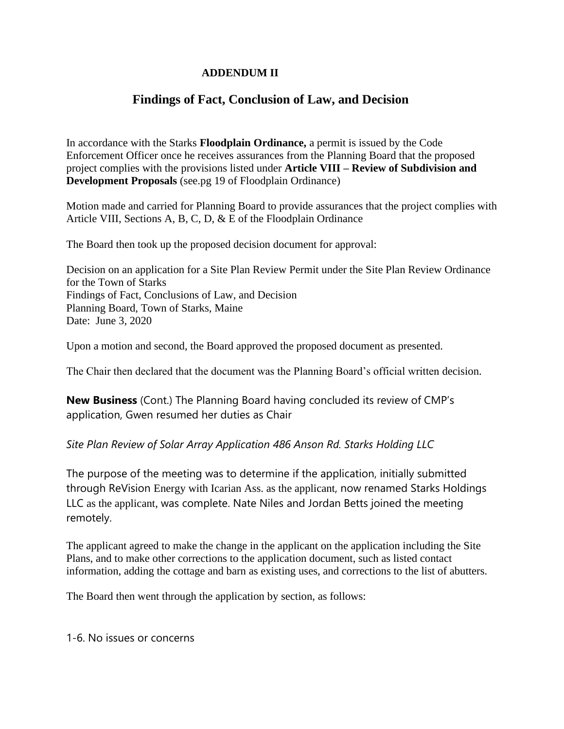## **ADDENDUM II**

# **Findings of Fact, Conclusion of Law, and Decision**

In accordance with the Starks **Floodplain Ordinance,** a permit is issued by the Code Enforcement Officer once he receives assurances from the Planning Board that the proposed project complies with the provisions listed under **Article VIII – Review of Subdivision and Development Proposals** (see.pg 19 of Floodplain Ordinance)

Motion made and carried for Planning Board to provide assurances that the project complies with Article VIII, Sections A, B, C, D, & E of the Floodplain Ordinance

The Board then took up the proposed decision document for approval:

Decision on an application for a Site Plan Review Permit under the Site Plan Review Ordinance for the Town of Starks Findings of Fact, Conclusions of Law, and Decision Planning Board, Town of Starks, Maine Date: June 3, 2020

Upon a motion and second, the Board approved the proposed document as presented.

The Chair then declared that the document was the Planning Board's official written decision.

**New Business** (Cont.) The Planning Board having concluded its review of CMP's application, Gwen resumed her duties as Chair

## *Site Plan Review of Solar Array Application 486 Anson Rd. Starks Holding LLC*

The purpose of the meeting was to determine if the application, initially submitted through ReVision Energy with Icarian Ass. as the applicant, now renamed Starks Holdings LLC as the applicant, was complete. Nate Niles and Jordan Betts joined the meeting remotely.

The applicant agreed to make the change in the applicant on the application including the Site Plans, and to make other corrections to the application document, such as listed contact information, adding the cottage and barn as existing uses, and corrections to the list of abutters.

The Board then went through the application by section, as follows:

1-6. No issues or concerns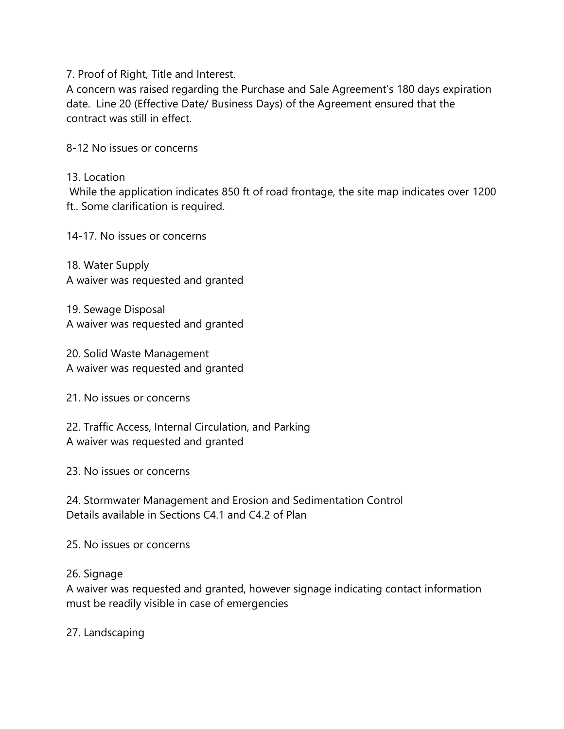7. Proof of Right, Title and Interest.

A concern was raised regarding the Purchase and Sale Agreement's 180 days expiration date. Line 20 (Effective Date/ Business Days) of the Agreement ensured that the contract was still in effect.

8-12 No issues or concerns

13. Location

While the application indicates 850 ft of road frontage, the site map indicates over 1200 ft.. Some clarification is required.

14-17. No issues or concerns

18. Water Supply A waiver was requested and granted

19. Sewage Disposal A waiver was requested and granted

20. Solid Waste Management A waiver was requested and granted

21. No issues or concerns

22. Traffic Access, Internal Circulation, and Parking A waiver was requested and granted

23. No issues or concerns

24. Stormwater Management and Erosion and Sedimentation Control Details available in Sections C4.1 and C4.2 of Plan

25. No issues or concerns

## 26. Signage

A waiver was requested and granted, however signage indicating contact information must be readily visible in case of emergencies

27. Landscaping